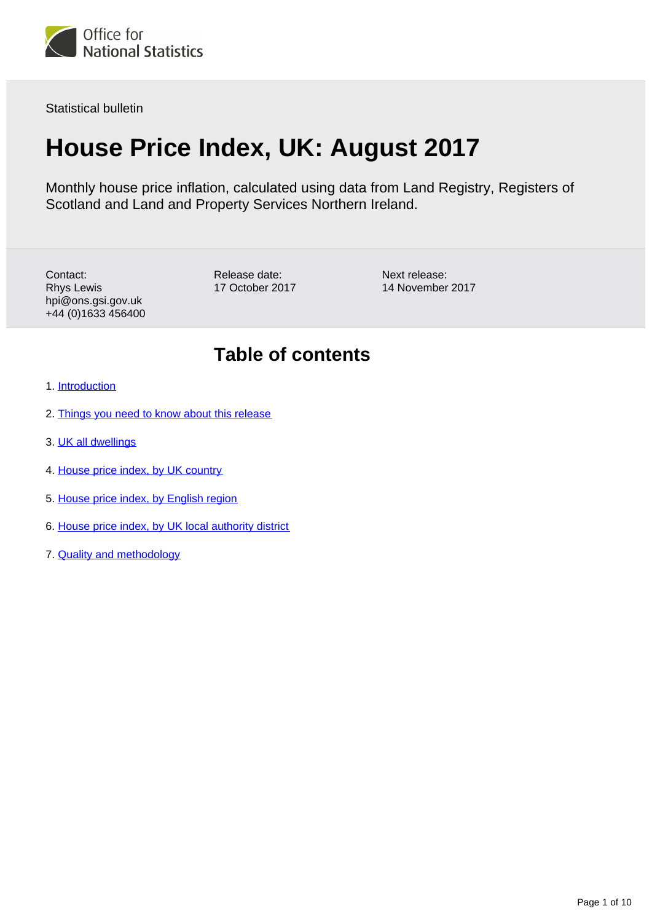

Statistical bulletin

# **House Price Index, UK: August 2017**

Monthly house price inflation, calculated using data from Land Registry, Registers of Scotland and Land and Property Services Northern Ireland.

Contact: Rhys Lewis hpi@ons.gsi.gov.uk +44 (0)1633 456400 Release date: 17 October 2017 Next release: 14 November 2017

### **Table of contents**

- 1. [Introduction](#page-1-0)
- 2. [Things you need to know about this release](#page-1-1)
- 3. [UK all dwellings](#page-1-2)
- 4. [House price index, by UK country](#page-4-0)
- 5. [House price index, by English region](#page-5-0)
- 6. [House price index, by UK local authority district](#page-8-0)
- 7. [Quality and methodology](#page-8-1)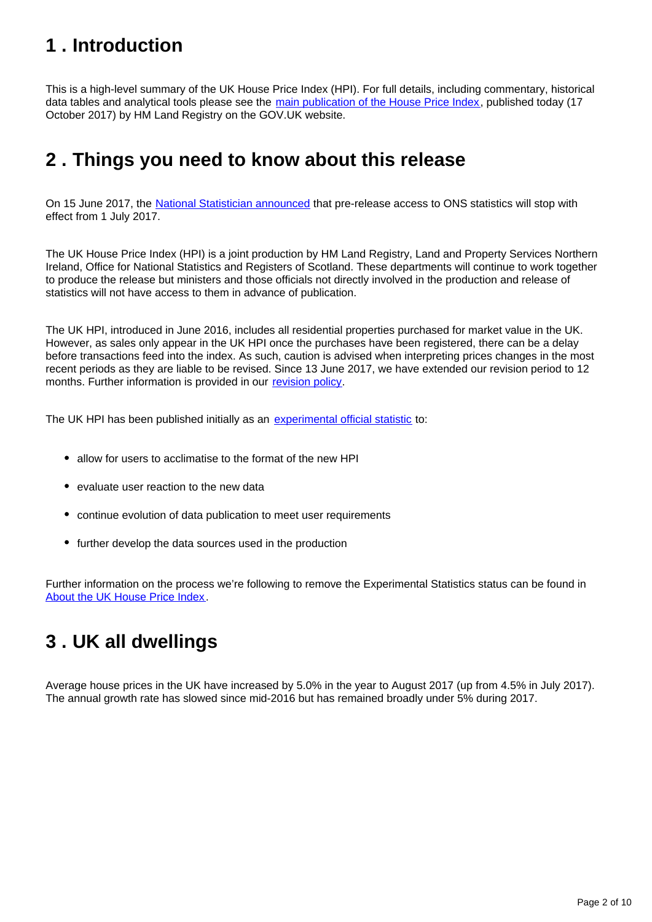### <span id="page-1-0"></span>**1 . Introduction**

This is a high-level summary of the UK House Price Index (HPI). For full details, including commentary, historical data tables and analytical tools please see the [main publication of the House Price Index,](https://www.gov.uk/government/collections/uk-house-price-index-reports) published today (17 October 2017) by HM Land Registry on the GOV.UK website.

### <span id="page-1-1"></span>**2 . Things you need to know about this release**

On 15 June 2017, the [National Statistician announced](https://www.statisticsauthority.gov.uk/correspondence/pre-release-access-to-ons-statistics/) that pre-release access to ONS statistics will stop with effect from 1 July 2017.

The UK House Price Index (HPI) is a joint production by HM Land Registry, Land and Property Services Northern Ireland, Office for National Statistics and Registers of Scotland. These departments will continue to work together to produce the release but ministers and those officials not directly involved in the production and release of statistics will not have access to them in advance of publication.

The UK HPI, introduced in June 2016, includes all residential properties purchased for market value in the UK. However, as sales only appear in the UK HPI once the purchases have been registered, there can be a delay before transactions feed into the index. As such, caution is advised when interpreting prices changes in the most recent periods as they are liable to be revised. Since 13 June 2017, we have extended our revision period to 12 months. Further information is provided in our [revision policy](https://www.gov.uk/government/publications/about-the-uk-house-price-index/about-the-uk-house-price-index).

The UK HPI has been published initially as an [experimental official statistic](https://www.ons.gov.uk/methodology/methodologytopicsandstatisticalconcepts/guidetoexperimentalstatistics) to:

- allow for users to acclimatise to the format of the new HPI
- evaluate user reaction to the new data
- continue evolution of data publication to meet user requirements
- further develop the data sources used in the production

Further information on the process we're following to remove the Experimental Statistics status can be found in [About the UK House Price Index.](https://www.gov.uk/government/publications/about-the-uk-house-price-index/about-the-uk-house-price-index#introduction)

### <span id="page-1-2"></span>**3 . UK all dwellings**

Average house prices in the UK have increased by 5.0% in the year to August 2017 (up from 4.5% in July 2017). The annual growth rate has slowed since mid-2016 but has remained broadly under 5% during 2017.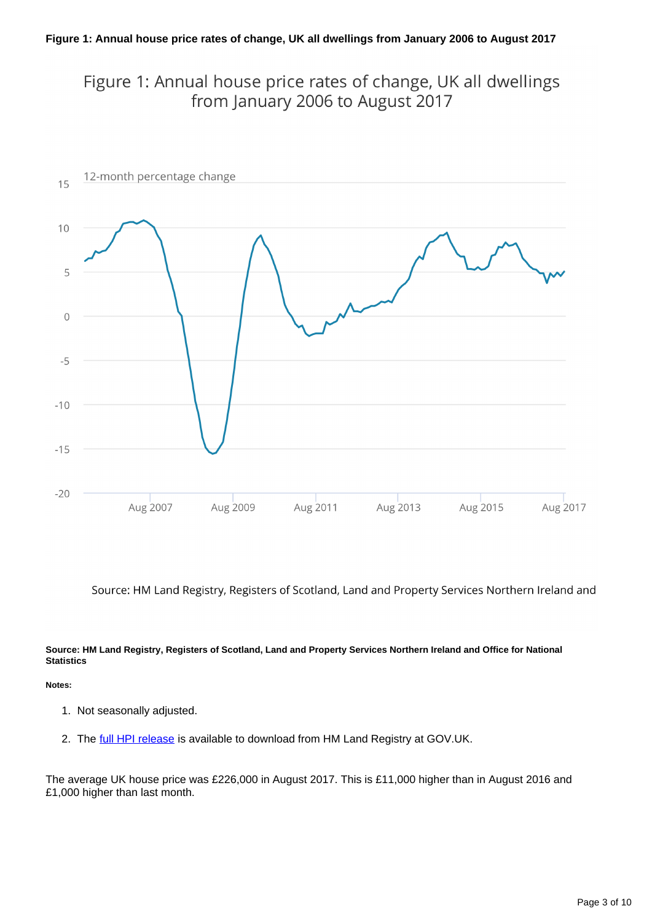Figure 1: Annual house price rates of change, UK all dwellings from January 2006 to August 2017



Source: HM Land Registry, Registers of Scotland, Land and Property Services Northern Ireland and

### **Source: HM Land Registry, Registers of Scotland, Land and Property Services Northern Ireland and Office for National Statistics**

### **Notes:**

- 1. Not seasonally adjusted.
- 2. The [full HPI release](https://www.gov.uk/government/collections/uk-house-price-index-reports) is available to download from HM Land Registry at GOV.UK.

The average UK house price was £226,000 in August 2017. This is £11,000 higher than in August 2016 and £1,000 higher than last month.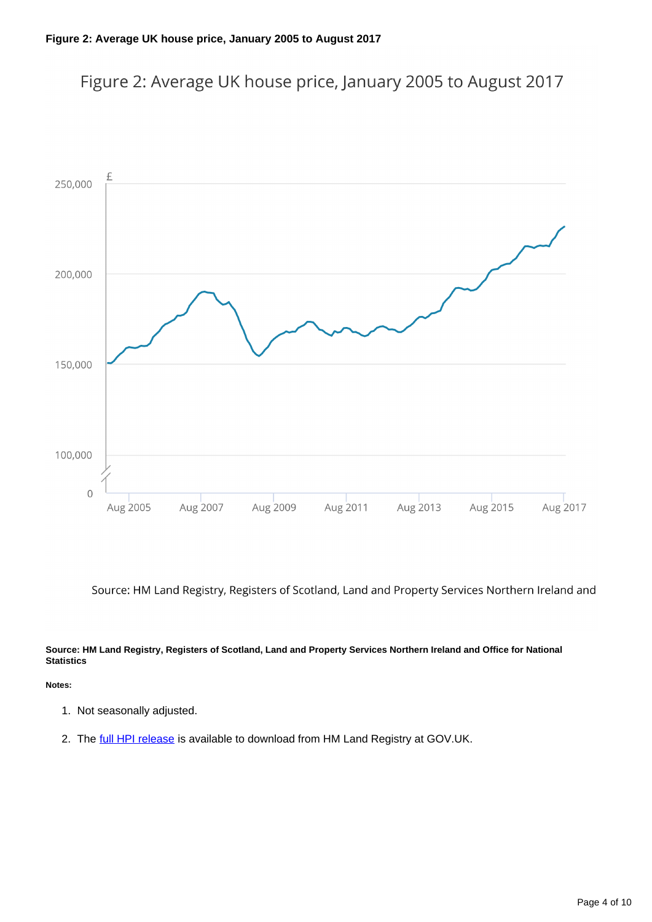



Source: HM Land Registry, Registers of Scotland, Land and Property Services Northern Ireland and

### **Source: HM Land Registry, Registers of Scotland, Land and Property Services Northern Ireland and Office for National Statistics**

### **Notes:**

- 1. Not seasonally adjusted.
- 2. The [full HPI release](https://www.gov.uk/government/collections/uk-house-price-index-reports) is available to download from HM Land Registry at GOV.UK.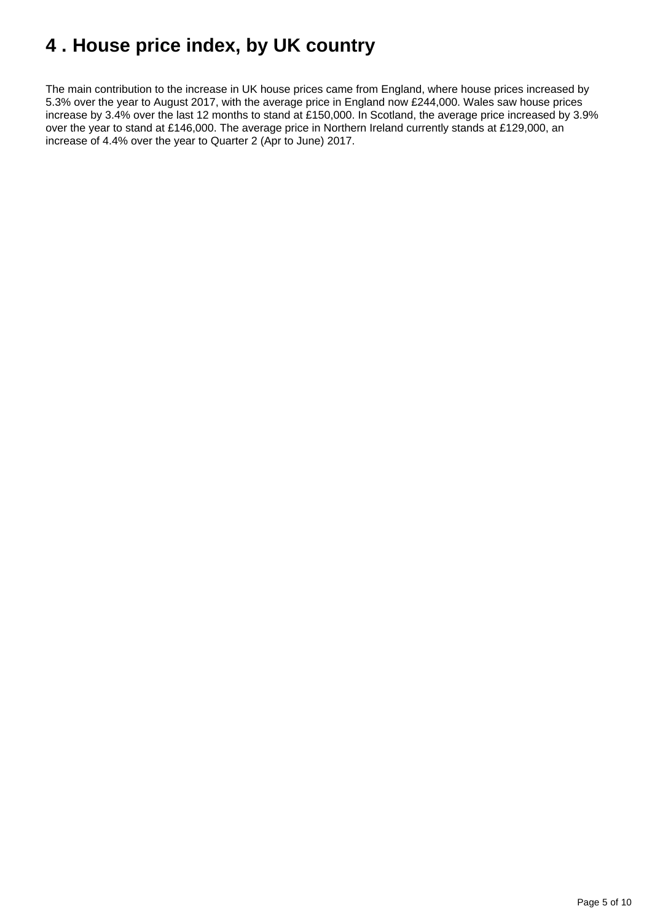## <span id="page-4-0"></span>**4 . House price index, by UK country**

The main contribution to the increase in UK house prices came from England, where house prices increased by 5.3% over the year to August 2017, with the average price in England now £244,000. Wales saw house prices increase by 3.4% over the last 12 months to stand at £150,000. In Scotland, the average price increased by 3.9% over the year to stand at £146,000. The average price in Northern Ireland currently stands at £129,000, an increase of 4.4% over the year to Quarter 2 (Apr to June) 2017.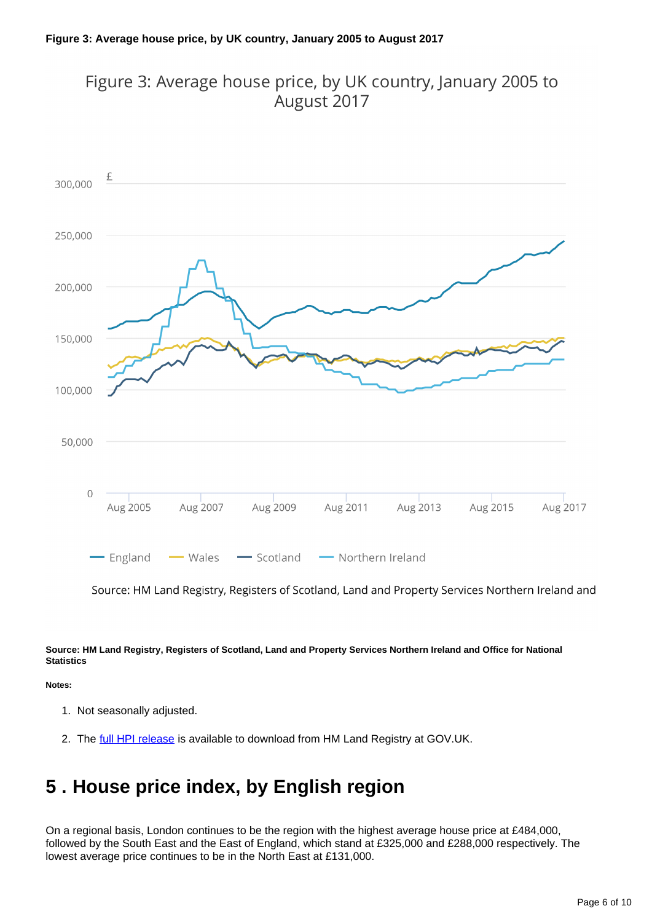### Figure 3: Average house price, by UK country, January 2005 to August 2017



Source: HM Land Registry, Registers of Scotland, Land and Property Services Northern Ireland and

### **Source: HM Land Registry, Registers of Scotland, Land and Property Services Northern Ireland and Office for National Statistics**

### **Notes:**

- 1. Not seasonally adjusted.
- 2. The [full HPI release](https://www.gov.uk/government/collections/uk-house-price-index-reports) is available to download from HM Land Registry at GOV.UK.

### <span id="page-5-0"></span>**5 . House price index, by English region**

On a regional basis, London continues to be the region with the highest average house price at £484,000, followed by the South East and the East of England, which stand at £325,000 and £288,000 respectively. The lowest average price continues to be in the North East at £131,000.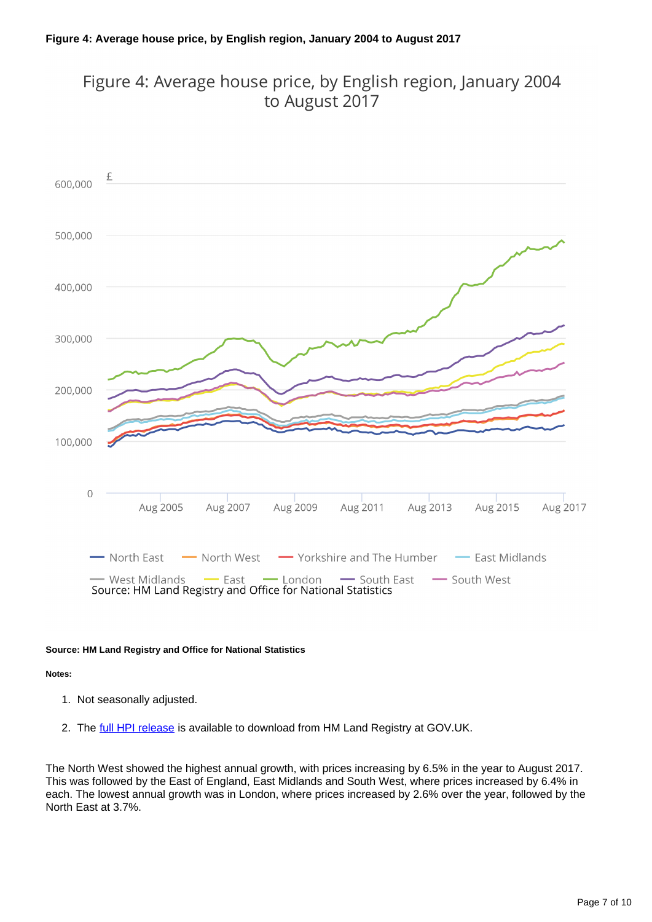### Figure 4: Average house price, by English region, January 2004 to August 2017



### **Source: HM Land Registry and Office for National Statistics**

#### **Notes:**

- 1. Not seasonally adjusted.
- 2. The [full HPI release](https://www.gov.uk/government/collections/uk-house-price-index-reports) is available to download from HM Land Registry at GOV.UK.

The North West showed the highest annual growth, with prices increasing by 6.5% in the year to August 2017. This was followed by the East of England, East Midlands and South West, where prices increased by 6.4% in each. The lowest annual growth was in London, where prices increased by 2.6% over the year, followed by the North East at 3.7%.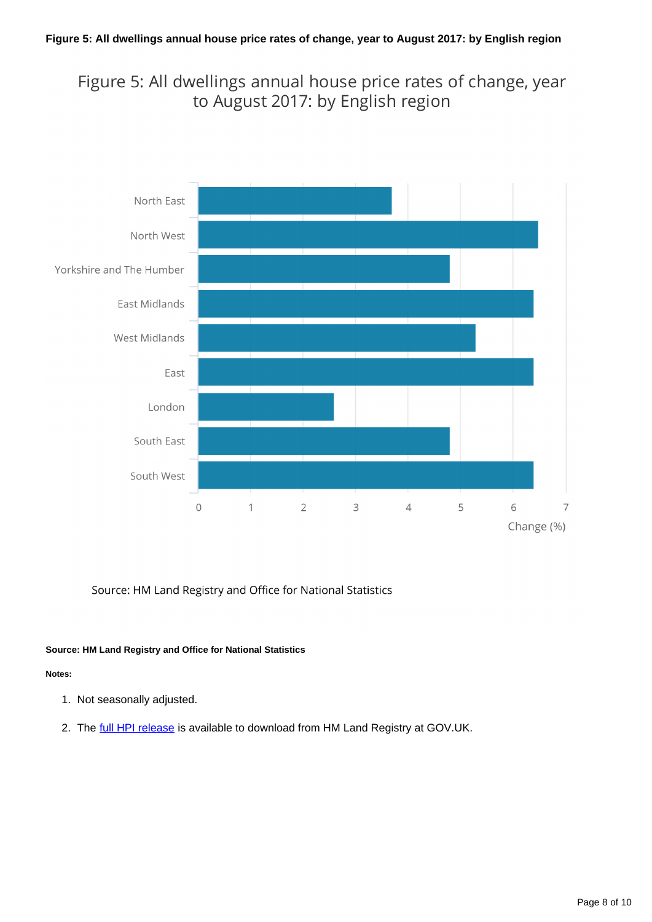### Figure 5: All dwellings annual house price rates of change, year to August 2017: by English region



### Source: HM Land Registry and Office for National Statistics

### **Source: HM Land Registry and Office for National Statistics**

### **Notes:**

- 1. Not seasonally adjusted.
- 2. The [full HPI release](https://www.gov.uk/government/collections/uk-house-price-index-reports) is available to download from HM Land Registry at GOV.UK.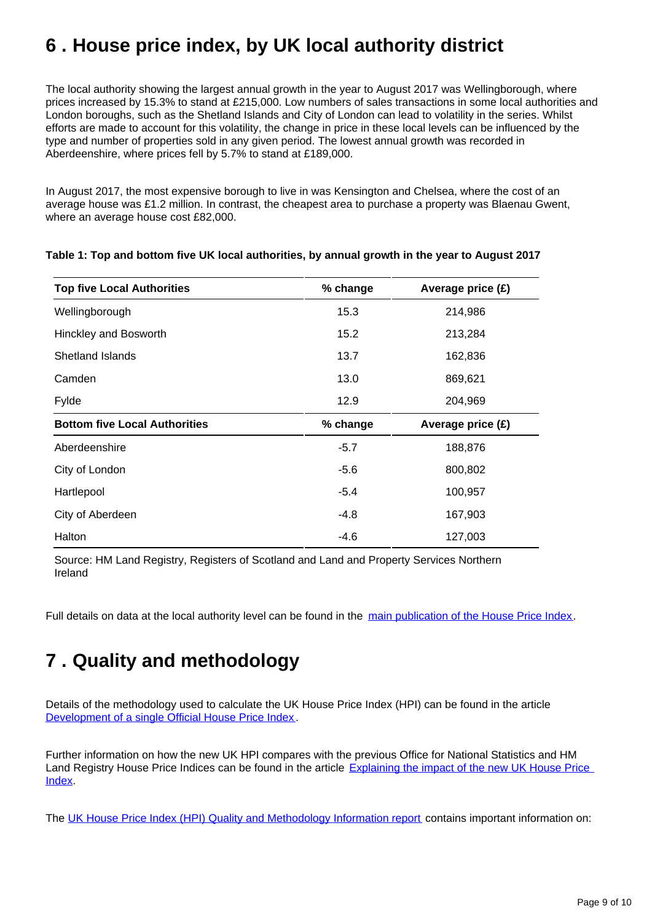## <span id="page-8-0"></span>**6 . House price index, by UK local authority district**

The local authority showing the largest annual growth in the year to August 2017 was Wellingborough, where prices increased by 15.3% to stand at £215,000. Low numbers of sales transactions in some local authorities and London boroughs, such as the Shetland Islands and City of London can lead to volatility in the series. Whilst efforts are made to account for this volatility, the change in price in these local levels can be influenced by the type and number of properties sold in any given period. The lowest annual growth was recorded in Aberdeenshire, where prices fell by 5.7% to stand at £189,000.

In August 2017, the most expensive borough to live in was Kensington and Chelsea, where the cost of an average house was £1.2 million. In contrast, the cheapest area to purchase a property was Blaenau Gwent, where an average house cost £82,000.

| <b>Top five Local Authorities</b>    | % change | Average price (£) |
|--------------------------------------|----------|-------------------|
| Wellingborough                       | 15.3     | 214,986           |
| Hinckley and Bosworth                | 15.2     | 213,284           |
| <b>Shetland Islands</b>              | 13.7     | 162,836           |
| Camden                               | 13.0     | 869,621           |
| Fylde                                | 12.9     | 204,969           |
| <b>Bottom five Local Authorities</b> | % change | Average price (£) |
| Aberdeenshire                        | $-5.7$   | 188,876           |
| City of London                       | $-5.6$   | 800,802           |
| Hartlepool                           | $-5.4$   | 100,957           |
| City of Aberdeen                     | $-4.8$   | 167,903           |
| Halton                               | $-4.6$   | 127,003           |

### **Table 1: Top and bottom five UK local authorities, by annual growth in the year to August 2017**

Source: HM Land Registry, Registers of Scotland and Land and Property Services Northern Ireland

Full details on data at the local authority level can be found in the [main publication of the House Price Index](https://www.gov.uk/government/collections/uk-house-price-index-reports).

## <span id="page-8-1"></span>**7 . Quality and methodology**

Details of the methodology used to calculate the UK House Price Index (HPI) can be found in the article [Development of a single Official House Price Index](https://www.ons.gov.uk/economy/inflationandpriceindices/methodologies/developmentofasingleofficialhousepriceindex).

Further information on how the new UK HPI compares with the previous Office for National Statistics and HM Land Registry House Price Indices can be found in the article [Explaining the impact of the new UK House Price](https://www.ons.gov.uk/economy/inflationandpriceindices/articles/explainingtheimpactofthenewukhousepriceindex/may2016)  [Index](https://www.ons.gov.uk/economy/inflationandpriceindices/articles/explainingtheimpactofthenewukhousepriceindex/may2016).

The [UK House Price Index \(HPI\) Quality and Methodology Information report](http://www.ons.gov.uk/economy/inflationandpriceindices/qmis/housepriceindexhpiqmi) contains important information on: